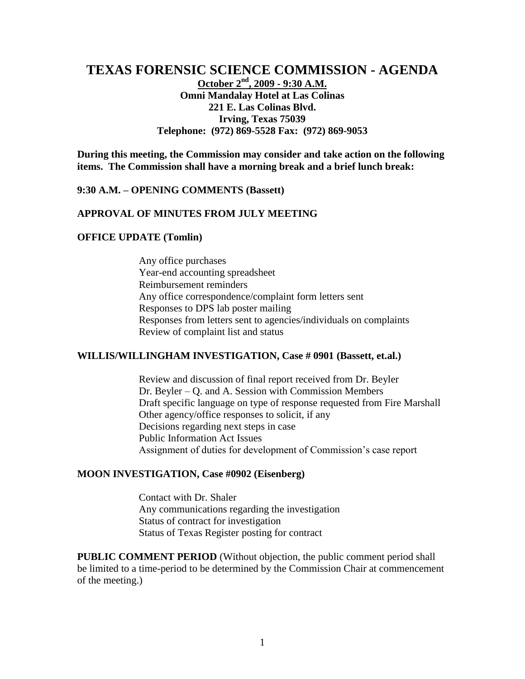# **TEXAS FORENSIC SCIENCE COMMISSION - AGENDA**

**October 2nd, 2009 - 9:30 A.M. Omni Mandalay Hotel at Las Colinas 221 E. Las Colinas Blvd. Irving, Texas 75039 Telephone: (972) 869-5528 Fax: (972) 869-9053**

**During this meeting, the Commission may consider and take action on the following items. The Commission shall have a morning break and a brief lunch break:**

#### **9:30 A.M. – OPENING COMMENTS (Bassett)**

## **APPROVAL OF MINUTES FROM JULY MEETING**

#### **OFFICE UPDATE (Tomlin)**

Any office purchases Year-end accounting spreadsheet Reimbursement reminders Any office correspondence/complaint form letters sent Responses to DPS lab poster mailing Responses from letters sent to agencies/individuals on complaints Review of complaint list and status

### **WILLIS/WILLINGHAM INVESTIGATION, Case # 0901 (Bassett, et.al.)**

Review and discussion of final report received from Dr. Beyler Dr. Beyler – Q. and A. Session with Commission Members Draft specific language on type of response requested from Fire Marshall Other agency/office responses to solicit, if any Decisions regarding next steps in case Public Information Act Issues Assignment of duties for development of Commission's case report

### **MOON INVESTIGATION, Case #0902 (Eisenberg)**

Contact with Dr. Shaler Any communications regarding the investigation Status of contract for investigation Status of Texas Register posting for contract

**PUBLIC COMMENT PERIOD** (Without objection, the public comment period shall be limited to a time-period to be determined by the Commission Chair at commencement of the meeting.)